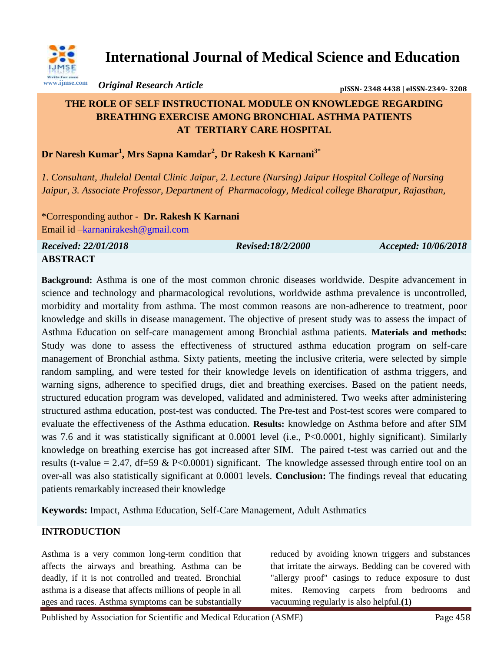

**International Journal of Medical Science and Education**

*Original Research Article* **pISSN- 2348 4438 | eISSN-2349- <sup>3208</sup>**

# **THE ROLE OF SELF INSTRUCTIONAL MODULE ON KNOWLEDGE REGARDING BREATHING EXERCISE AMONG BRONCHIAL ASTHMA PATIENTS AT TERTIARY CARE HOSPITAL**

**Dr Naresh Kumar<sup>1</sup> , Mrs Sapna Kamdar<sup>2</sup> , Dr Rakesh K Karnani3\***

*1. Consultant, Jhulelal Dental Clinic Jaipur, 2. Lecture (Nursing) Jaipur Hospital College of Nursing Jaipur, 3. Associate Professor, Department of Pharmacology, Medical college Bharatpur, Rajasthan,* 

\*Corresponding author - **Dr. Rakesh K Karnani** Email id [–karnanirakesh@gmail.com](mailto:karnanirakesh@gmail.com)

*Received: 22/01/2018 Revised:18/2/2000 Accepted: 10/06/2018* **ABSTRACT**

**Background:** Asthma is one of the most common chronic diseases worldwide. Despite advancement in science and technology and pharmacological revolutions, worldwide asthma prevalence is uncontrolled, morbidity and mortality from asthma. The most common reasons are non-adherence to treatment, poor knowledge and skills in disease management. The objective of present study was to assess the impact of Asthma Education on self-care management among Bronchial asthma patients. **Materials and methods:** Study was done to assess the effectiveness of structured asthma education program on self-care management of Bronchial asthma. Sixty patients, meeting the inclusive criteria, were selected by simple random sampling, and were tested for their knowledge levels on identification of asthma triggers, and warning signs, adherence to specified drugs, diet and breathing exercises. Based on the patient needs, structured education program was developed, validated and administered. Two weeks after administering structured asthma education, post-test was conducted. The Pre-test and Post-test scores were compared to evaluate the effectiveness of the Asthma education. **Results:** knowledge on Asthma before and after SIM was 7.6 and it was statistically significant at 0.0001 level (i.e., P<0.0001, highly significant). Similarly knowledge on breathing exercise has got increased after SIM. The paired t-test was carried out and the results (t-value = 2.47, df=59 & P<0.0001) significant. The knowledge assessed through entire tool on an over-all was also statistically significant at 0.0001 levels. **Conclusion:** The findings reveal that educating patients remarkably increased their knowledge

**Keywords:** Impact, Asthma Education, Self-Care Management, Adult Asthmatics

# **INTRODUCTION**

Asthma is a very common long-term condition that affects the airways and breathing. Asthma can be deadly, if it is not controlled and treated. Bronchial asthma is a disease that affects millions of people in all ages and races. Asthma symptoms can be substantially

reduced by avoiding known triggers and substances that irritate the airways. Bedding can be covered with "allergy proof" casings to reduce exposure to dust mites. Removing carpets from bedrooms and vacuuming regularly is also helpful.**(1)**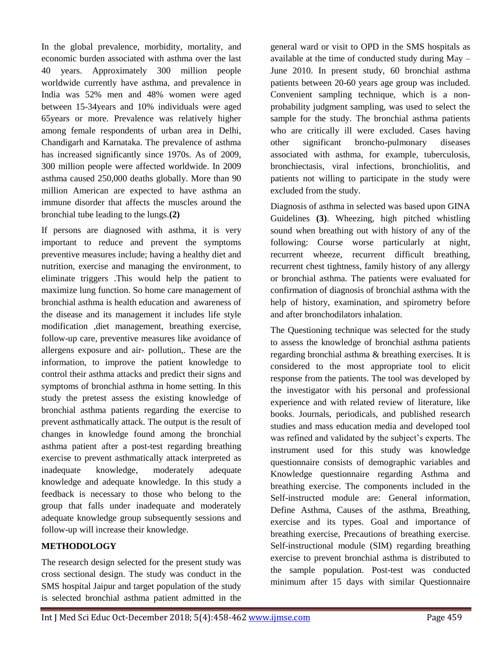In the global prevalence, morbidity, mortality, and economic burden associated with asthma over the last 40 years. Approximately 300 million people worldwide currently have asthma, and prevalence in India was 52% men and 48% women were aged between 15-34years and 10% individuals were aged 65years or more. Prevalence was relatively higher among female respondents of urban area in Delhi, Chandigarh and Karnataka. The prevalence of asthma has increased significantly since 1970s. As of 2009, 300 million people were affected worldwide. In 2009 asthma caused 250,000 deaths globally. More than 90 million American are expected to have asthma an immune disorder that affects the muscles around the bronchial tube leading to the lungs.**(2)**

If persons are diagnosed with asthma, it is very important to reduce and prevent the symptoms preventive measures include; having a healthy diet and nutrition, exercise and managing the environment, to eliminate triggers .This would help the patient to maximize lung function. So home care management of bronchial asthma is health education and awareness of the disease and its management it includes life style modification ,diet management, breathing exercise, follow-up care, preventive measures like avoidance of allergens exposure and air- pollution,. These are the information, to improve the patient knowledge to control their asthma attacks and predict their signs and symptoms of bronchial asthma in home setting. In this study the pretest assess the existing knowledge of bronchial asthma patients regarding the exercise to prevent asthmatically attack. The output is the result of changes in knowledge found among the bronchial asthma patient after a post-test regarding breathing exercise to prevent asthmatically attack interpreted as inadequate knowledge, moderately adequate knowledge and adequate knowledge. In this study a feedback is necessary to those who belong to the group that falls under inadequate and moderately adequate knowledge group subsequently sessions and follow-up will increase their knowledge.

### **METHODOLOGY**

The research design selected for the present study was cross sectional design. The study was conduct in the SMS hospital Jaipur and target population of the study is selected bronchial asthma patient admitted in the general ward or visit to OPD in the SMS hospitals as available at the time of conducted study during May – June 2010. In present study, 60 bronchial asthma patients between 20-60 years age group was included. Convenient sampling technique, which is a nonprobability judgment sampling, was used to select the sample for the study. The bronchial asthma patients who are critically ill were excluded. Cases having other significant broncho-pulmonary diseases associated with asthma, for example, tuberculosis, bronchiectasis, viral infections, bronchiolitis, and patients not willing to participate in the study were excluded from the study.

Diagnosis of asthma in selected was based upon GINA Guidelines **(3)**. Wheezing, high pitched whistling sound when breathing out with history of any of the following: Course worse particularly at night, recurrent wheeze, recurrent difficult breathing, recurrent chest tightness, family history of any allergy or bronchial asthma. The patients were evaluated for confirmation of diagnosis of bronchial asthma with the help of history, examination, and spirometry before and after bronchodilators inhalation.

The Questioning technique was selected for the study to assess the knowledge of bronchial asthma patients regarding bronchial asthma & breathing exercises. It is considered to the most appropriate tool to elicit response from the patients. The tool was developed by the investigator with his personal and professional experience and with related review of literature, like books. Journals, periodicals, and published research studies and mass education media and developed tool was refined and validated by the subject's experts. The instrument used for this study was knowledge questionnaire consists of demographic variables and Knowledge questionnaire regarding Asthma and breathing exercise. The components included in the Self-instructed module are: General information, Define Asthma, Causes of the asthma, Breathing, exercise and its types. Goal and importance of breathing exercise, Precautions of breathing exercise. Self-instructional module (SIM) regarding breathing exercise to prevent bronchial asthma is distributed to the sample population. Post-test was conducted minimum after 15 days with similar Questionnaire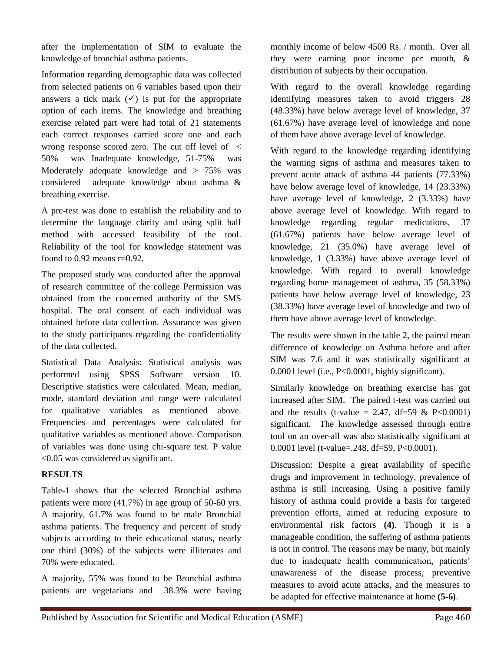after the implementation of SIM to evaluate the knowledge of bronchial asthma patients.

Information regarding demographic data was collected from selected patients on 6 variables based upon their answers a tick mark  $(\checkmark)$  is put for the appropriate option of each items. The knowledge and breathing exercise related part were had total of 21 statements each correct responses carried score one and each wrong response scored zero. The cut off level of < 50% was Inadequate knowledge, 51-75% was Moderately adequate knowledge and > 75% was considered adequate knowledge about asthma & breathing exercise.

A pre-test was done to establish the reliability and to determine the language clarity and using split half method with accessed feasibility of the tool. Reliability of the tool for knowledge statement was found to 0.92 means r=0.92.

The proposed study was conducted after the approval of research committee of the college Permission was obtained from the concerned authority of the SMS hospital. The oral consent of each individual was obtained before data collection. Assurance was given to the study participants regarding the confidentiality of the data collected.

Statistical Data Analysis: Statistical analysis was performed using SPSS Software version 10. Descriptive statistics were calculated. Mean, median, mode, standard deviation and range were calculated for qualitative variables as mentioned above. Frequencies and percentages were calculated for qualitative variables as mentioned above. Comparison of variables was done using chi-square test. P value <0.05 was considered as significant.

#### **RESULTS**

Table-1 shows that the selected Bronchial asthma patients were more (41.7%) in age group of 50-60 yrs. A majority, 61.7% was found to be male Bronchial asthma patients. The frequency and percent of study subjects according to their educational status, nearly one third (30%) of the subjects were illiterates and 70% were educated.

A majority, 55% was found to be Bronchial asthma patients are vegetarians and 38.3% were having

monthly income of below 4500 Rs. / month. Over all they were earning poor income per month, & distribution of subjects by their occupation.

With regard to the overall knowledge regarding identifying measures taken to avoid triggers 28 (48.33%) have below average level of knowledge, 37 (61.67%) have average level of knowledge and none of them have above average level of knowledge.

With regard to the knowledge regarding identifying the warning signs of asthma and measures taken to prevent acute attack of asthma 44 patients (77.33%) have below average level of knowledge, 14 (23.33%) have average level of knowledge, 2 (3.33%) have above average level of knowledge. With regard to knowledge regarding regular medications, 37 (61.67%) patients have below average level of knowledge, 21 (35.0%) have average level of knowledge, 1 (3.33%) have above average level of knowledge. With regard to overall knowledge regarding home management of asthma, 35 (58.33%) patients have below average level of knowledge, 23 (38.33%) have average level of knowledge and two of them have above average level of knowledge.

The results were shown in the table 2, the paired mean difference of knowledge on Asthma before and after SIM was 7.6 and it was statistically significant at 0.0001 level (i.e., P<0.0001, highly significant).

Similarly knowledge on breathing exercise has got increased after SIM. The paired t-test was carried out and the results (t-value = 2.47, df=59 & P<0.0001) significant. The knowledge assessed through entire tool on an over-all was also statistically significant at 0.0001 level (t-value=.248, df=59, P<0.0001).

Discussion: Despite a great availability of specific drugs and improvement in technology, prevalence of asthma is still increasing. Using a positive family history of asthma could provide a basis for targeted prevention efforts, aimed at reducing exposure to environmental risk factors **(4)**. Though it is a manageable condition, the suffering of asthma patients is not in control. The reasons may be many, but mainly due to inadequate health communication, patients' unawareness of the disease process, preventive measures to avoid acute attacks, and the measures to be adapted for effective maintenance at home **(5-6)**.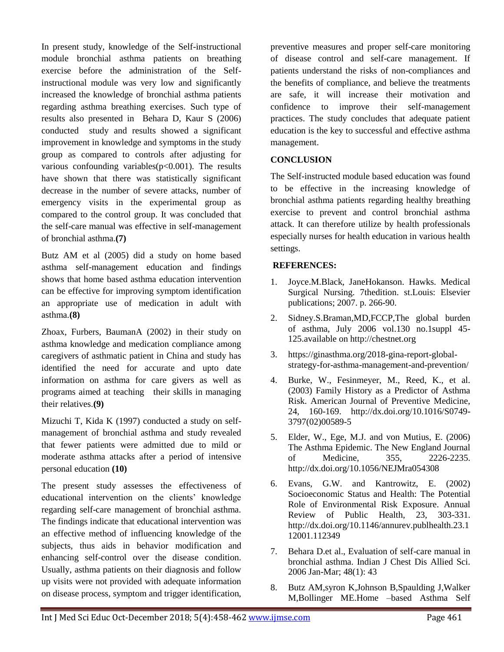In present study, knowledge of the Self-instructional module bronchial asthma patients on breathing exercise before the administration of the Selfinstructional module was very low and significantly increased the knowledge of bronchial asthma patients regarding asthma breathing exercises. Such type of results also presented in Behara D, Kaur S (2006) conducted study and results showed a significant improvement in knowledge and symptoms in the study group as compared to controls after adjusting for various confounding variables( $p<0.001$ ). The results have shown that there was statistically significant decrease in the number of severe attacks, number of emergency visits in the experimental group as compared to the control group. It was concluded that the self-care manual was effective in self-management of bronchial asthma.**(7)**

Butz AM et al (2005) did a study on home based asthma self-management education and findings shows that home based asthma education intervention can be effective for improving symptom identification an appropriate use of medication in adult with asthma.**(8)**

Zhoax, Furbers, BaumanA (2002) in their study on asthma knowledge and medication compliance among caregivers of asthmatic patient in China and study has identified the need for accurate and upto date information on asthma for care givers as well as programs aimed at teaching their skills in managing their relatives.**(9)**

Mizuchi T, Kida K (1997) conducted a study on selfmanagement of bronchial asthma and study revealed that fewer patients were admitted due to mild or moderate asthma attacks after a period of intensive personal education **(10)**

The present study assesses the effectiveness of educational intervention on the clients' knowledge regarding self-care management of bronchial asthma. The findings indicate that educational intervention was an effective method of influencing knowledge of the subjects, thus aids in behavior modification and enhancing self-control over the disease condition. Usually, asthma patients on their diagnosis and follow up visits were not provided with adequate information on disease process, symptom and trigger identification,

preventive measures and proper self-care monitoring of disease control and self-care management. If patients understand the risks of non-compliances and the benefits of compliance, and believe the treatments are safe, it will increase their motivation and confidence to improve their self-management practices. The study concludes that adequate patient education is the key to successful and effective asthma management.

### **CONCLUSION**

The Self-instructed module based education was found to be effective in the increasing knowledge of bronchial asthma patients regarding healthy breathing exercise to prevent and control bronchial asthma attack. It can therefore utilize by health professionals especially nurses for health education in various health settings.

### **REFERENCES:**

- 1. Joyce.M.Black, JaneHokanson. Hawks. Medical Surgical Nursing. 7thedition. st.Louis: Elsevier publications; 2007. p. 266-90.
- 2. Sidney.S.Braman,MD,FCCP,The global burden of asthma, July 2006 vol.130 no.1suppl 45- 125.available on http://chestnet.org
- 3. https://ginasthma.org/2018-gina-report-globalstrategy-for-asthma-management-and-prevention/
- 4. Burke, W., Fesinmeyer, M., Reed, K., et al. (2003) Family History as a Predictor of Asthma Risk. American Journal of Preventive Medicine, 24, 160-169. http://dx.doi.org/10.1016/S0749- 3797(02)00589-5
- 5. Elder, W., Ege, M.J. and von Mutius, E. (2006) The Asthma Epidemic. The New England Journal of Medicine, 355, 2226-2235. http://dx.doi.org/10.1056/NEJMra054308
- 6. Evans, G.W. and Kantrowitz, E. (2002) Socioeconomic Status and Health: The Potential Role of Environmental Risk Exposure. Annual Review of Public Health, 23, 303-331. http://dx.doi.org/10.1146/annurev.publhealth.23.1 12001.112349
- 7. Behara D.et al., Evaluation of self-care manual in bronchial asthma. Indian J Chest Dis Allied Sci. 2006 Jan-Mar; 48(1): 43
- 8. Butz AM,syron K,Johnson B,Spaulding J,Walker M,Bollinger ME.Home –based Asthma Self